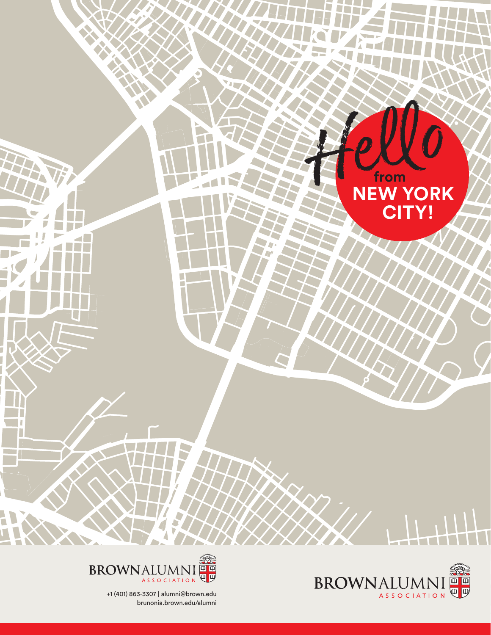





+1 (401) 863-3307 | alumni@brown.edu brunonia.brown.edu/alumni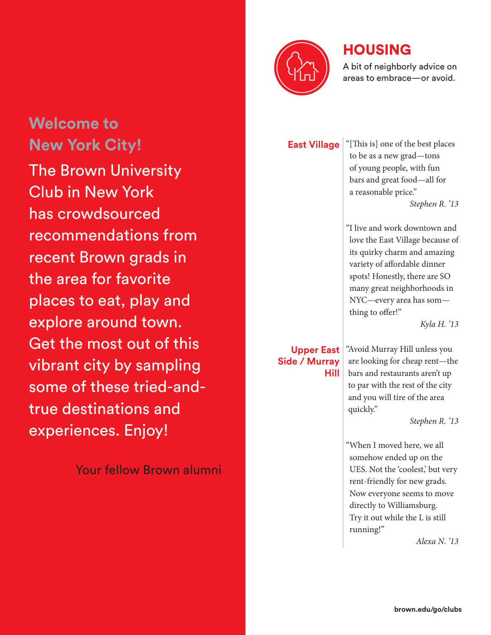# **Welcome to New York City!** The Brown University Club in New York has crowdsourced recommendations from recent Brown grads in the area for favorite

places to eat, play and explore around town. Get the most out of this vibrant city by sampling some of these tried-andtrue destinations and experiences. Enjoy!

Your fellow Brown alumni

#### **Upper East Side / Murray Hill**

**East Village** "[This is] one of the best places to be as a new grad—tons of young people, with fun bars and great food—all for a reasonable price."

*Stephen R. '13*

"I live and work downtown and love the East Village because of its quirky charm and amazing variety of affordable dinner spots! Honestly, there are SO many great neighborhoods in NYC—every area has som thing to offer!"

*Kyla H. '13*

"Avoid Murray Hill unless you are looking for cheap rent—the bars and restaurants aren't up to par with the rest of the city and you will tire of the area quickly."

*Stephen R. '13*

"When I moved here, we all somehow ended up on the UES. Not the 'coolest,' but very rent-friendly for new grads. Now everyone seems to move directly to Williamsburg. Try it out while the L is still running!"

*Alexa N. '13*

# HOUSING



#### A bit of neighborly advice on areas to embrace—or avoid.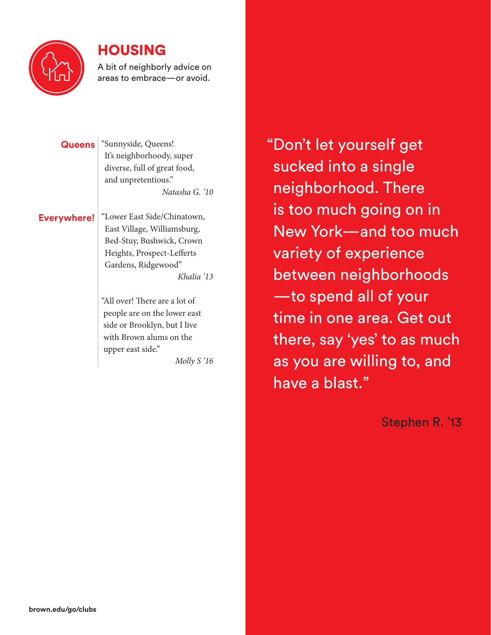

### HOUSING

A bit of neighborly advice on areas to embrace—or avoid.

**Queens** "Sunnyside, Queens! It's neighborhoody, super diverse, full of great food, and unpretentious." *Natasha G. '10*

**Everywhere!** "Lower East Side/Chinatown, East Village, Williamsburg, Bed-Stuy, Bushwick, Crown Heights, Prospect-Lefferts Gardens, Ridgewood" *Khalia '13*

> "All over! There are a lot of people are on the lower east side or Brooklyn, but I live with Brown alums on the upper east side."

> > *Molly S '16*

"Don't let yourself get sucked into a single neighborhood. There is too much going on in New York—and too much variety of experience between neighborhoods —to spend all of your time in one area. Get out there, say 'yes' to as much as you are willing to, and have a blast."

Stephen R. '13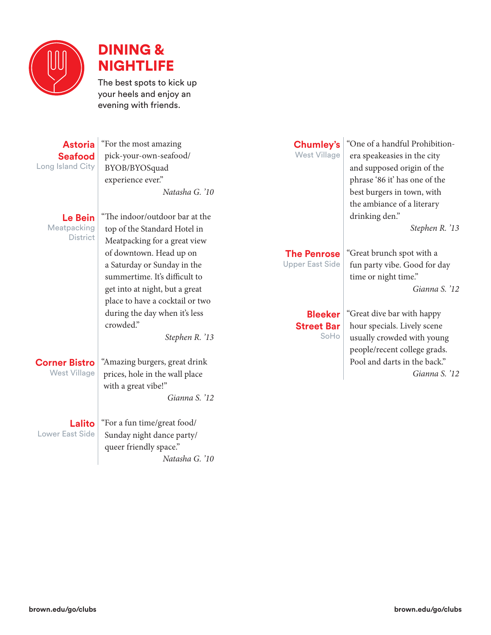



The best spots to kick up your heels and enjoy an evening with friends.

#### **Astoria Seafood** Long Island City

"For the most amazing pick-your-own-seafood/ BYOB/BYOSquad experience ever." *Natasha G. '10*

**Le Bein Meatpacking District**  "The indoor/outdoor bar at the top of the Standard Hotel in Meatpacking for a great view of downtown. Head up on a Saturday or Sunday in the summertime. It's difficult to get into at night, but a great place to have a cocktail or two during the day when it's less crowded"

*Stephen R. '13*

### **Corner Bistro**

West Village

"Amazing burgers, great drink prices, hole in the wall place with a great vibe!" *Gianna S. '12*

**Lalito** Lower East Side

"For a fun time/great food/ Sunday night dance party/ queer friendly space." *Natasha G. '10*

# **Chumley's**

West Village

"One of a handful Prohibitionera speakeasies in the city and supposed origin of the phrase '86 it' has one of the best burgers in town, with the ambiance of a literary drinking den."

"Great brunch spot with a fun party vibe. Good for day

time or night time."

*Stephen R. '13*

*Gianna S. '12*

### **The Penrose**

Upper East Side

#### **Bleeker Street Bar** SoHo

"Great dive bar with happy hour specials. Lively scene usually crowded with young people/recent college grads. Pool and darts in the back." *Gianna S. '12*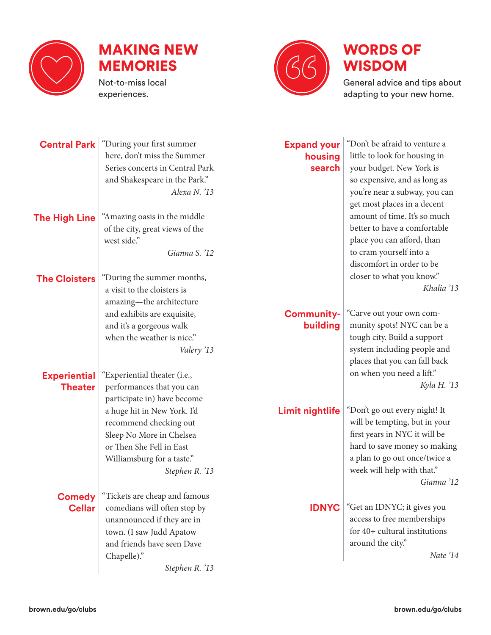



experiences.



# WORDS OF WISDOM

General advice and tips about adapting to your new home.

| <b>Central Park</b>  | "During your first summer       |                               | "Don't be afraid to venture a |
|----------------------|---------------------------------|-------------------------------|-------------------------------|
|                      | here, don't miss the Summer     | <b>Expand your</b><br>housing | little to look for housing in |
|                      | Series concerts in Central Park | search                        | your budget. New York is      |
|                      | and Shakespeare in the Park."   |                               | so expensive, and as long as  |
|                      | Alexa N. '13                    |                               | you're near a subway, you can |
|                      |                                 |                               |                               |
|                      |                                 |                               | get most places in a decent   |
| <b>The High Line</b> | "Amazing oasis in the middle    |                               | amount of time. It's so much  |
|                      | of the city, great views of the |                               | better to have a comfortable  |
|                      | west side."                     |                               | place you can afford, than    |
|                      | Gianna S. '12                   |                               | to cram yourself into a       |
|                      |                                 |                               | discomfort in order to be     |
| <b>The Cloisters</b> | "During the summer months,      |                               | closer to what you know."     |
|                      | a visit to the cloisters is     |                               | Khalia '13                    |
|                      | amazing-the architecture        |                               |                               |
|                      | and exhibits are exquisite,     | <b>Community-</b>             | "Carve out your own com-      |
|                      | and it's a gorgeous walk        | building                      | munity spots! NYC can be a    |
|                      | when the weather is nice."      |                               | tough city. Build a support   |
|                      | Valery '13                      |                               | system including people and   |
|                      |                                 |                               | places that you can fall back |
| <b>Experiential</b>  | "Experiential theater (i.e.,    |                               | on when you need a lift."     |
| <b>Theater</b>       | performances that you can       |                               | Kyla H. '13                   |
|                      | participate in) have become     |                               |                               |
|                      | a huge hit in New York. I'd     | <b>Limit nightlife</b>        | "Don't go out every night! It |
|                      | recommend checking out          |                               | will be tempting, but in your |
|                      | Sleep No More in Chelsea        |                               | first years in NYC it will be |
|                      | or Then She Fell in East        |                               | hard to save money so making  |
|                      | Williamsburg for a taste."      |                               | a plan to go out once/twice a |
|                      | Stephen R. '13                  |                               | week will help with that."    |
|                      |                                 |                               | Gianna '12                    |
|                      |                                 |                               |                               |
| <b>Comedy</b>        | "Tickets are cheap and famous   |                               | "Get an IDNYC; it gives you   |
| <b>Cellar</b>        | comedians will often stop by    | <b>IDNYC</b>                  | access to free memberships    |
|                      | unannounced if they are in      |                               | for 40+ cultural institutions |
|                      | town. (I saw Judd Apatow        |                               |                               |
|                      | and friends have seen Dave      |                               | around the city."             |
|                      | Chapelle)."                     |                               | Nate '14                      |
|                      | Stephen R. '13                  |                               |                               |